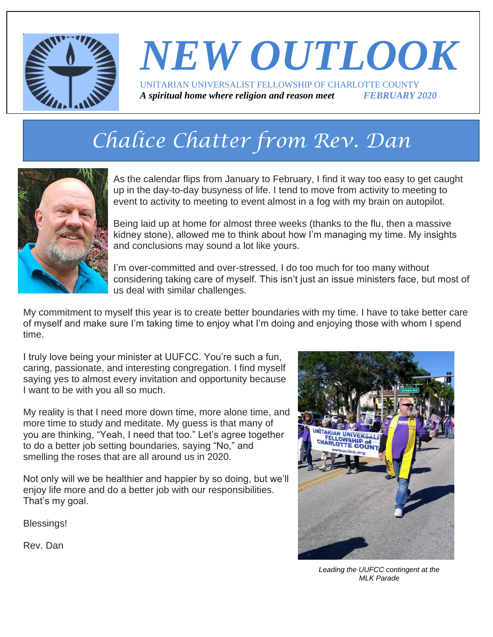

## *NEW OUTLOOK* UNITARIAN UNIVERSALIST FELLOWSHIP OF CHARLOTTE COUNTY *A spiritual home where religion and reason meet FEBRUARY 2020*

# *Chalice Chatter from Rev. Dan*



As the calendar flips from January to February, I find it way too easy to get caught up in the day-to-day busyness of life. I tend to move from activity to meeting to event to activity to meeting to event almost in a fog with my brain on autopilot.

Being laid up at home for almost three weeks (thanks to the flu, then a massive kidney stone), allowed me to think about how I'm managing my time. My insights and conclusions may sound a lot like yours.

I'm over-committed and over-stressed. I do too much for too many without considering taking care of myself. This isn't just an issue ministers face, but most of us deal with similar challenges.

My commitment to myself this year is to create better boundaries with my time. I have to take better care of myself and make sure I'm taking time to enjoy what I'm doing and enjoying those with whom I spend time.

I truly love being your minister at UUFCC. You're such a fun, caring, passionate, and interesting congregation. I find myself saying yes to almost every invitation and opportunity because I want to be with you all so much.

My reality is that I need more down time, more alone time, and more time to study and meditate. My guess is that many of you are thinking, "Yeah, I need that too." Let's agree together to do a better job setting boundaries, saying "No," and smelling the roses that are all around us in 2020.

Not only will we be healthier and happier by so doing, but we'll enjoy life more and do a better job with our responsibilities. That's my goal.

Blessings!

Rev. Dan



*Leading the UUFCC contingent at the MLK Parade*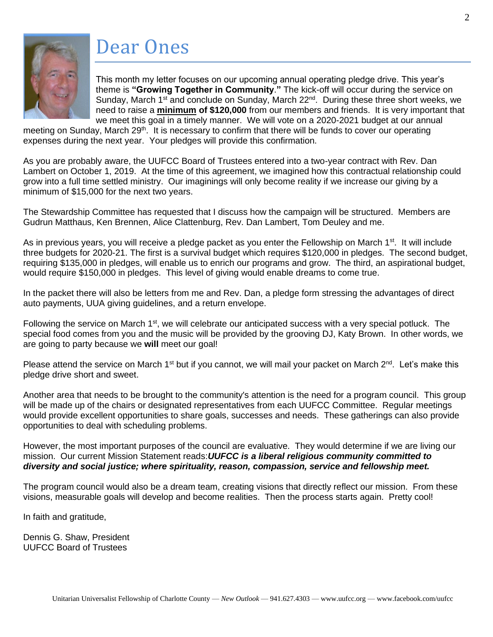

### Dear Ones

This month my letter focuses on our upcoming annual operating pledge drive. This year's theme is **"Growing Together in Community**.**"** The kick-off will occur during the service on Sunday, March 1<sup>st</sup> and conclude on Sunday, March 22<sup>nd</sup>. During these three short weeks, we need to raise a **minimum of \$120,000** from our members and friends. It is very important that we meet this goal in a timely manner. We will vote on a 2020-2021 budget at our annual

meeting on Sunday, March 29<sup>th</sup>. It is necessary to confirm that there will be funds to cover our operating expenses during the next year. Your pledges will provide this confirmation.

As you are probably aware, the UUFCC Board of Trustees entered into a two-year contract with Rev. Dan Lambert on October 1, 2019. At the time of this agreement, we imagined how this contractual relationship could grow into a full time settled ministry. Our imaginings will only become reality if we increase our giving by a minimum of \$15,000 for the next two years.

The Stewardship Committee has requested that I discuss how the campaign will be structured. Members are Gudrun Matthaus, Ken Brennen, Alice Clattenburg, Rev. Dan Lambert, Tom Deuley and me.

As in previous years, you will receive a pledge packet as you enter the Fellowship on March 1<sup>st</sup>. It will include three budgets for 2020-21. The first is a survival budget which requires \$120,000 in pledges. The second budget, requiring \$135,000 in pledges, will enable us to enrich our programs and grow. The third, an aspirational budget, would require \$150,000 in pledges. This level of giving would enable dreams to come true.

In the packet there will also be letters from me and Rev. Dan, a pledge form stressing the advantages of direct auto payments, UUA giving guidelines, and a return envelope.

Following the service on March  $1<sup>st</sup>$ , we will celebrate our anticipated success with a very special potluck. The special food comes from you and the music will be provided by the grooving DJ, Katy Brown. In other words, we are going to party because we **will** meet our goal!

Please attend the service on March 1<sup>st</sup> but if you cannot, we will mail your packet on March  $2^{nd}$ . Let's make this pledge drive short and sweet.

Another area that needs to be brought to the community's attention is the need for a program council. This group will be made up of the chairs or designated representatives from each UUFCC Committee. Regular meetings would provide excellent opportunities to share goals, successes and needs. These gatherings can also provide opportunities to deal with scheduling problems.

However, the most important purposes of the council are evaluative. They would determine if we are living our mission. Our current Mission Statement reads:*UUFCC is a liberal religious community committed to diversity and social justice; where spirituality, reason, compassion, service and fellowship meet.*

The program council would also be a dream team, creating visions that directly reflect our mission. From these visions, measurable goals will develop and become realities. Then the process starts again. Pretty cool!

In faith and gratitude,

Dennis G. Shaw, President UUFCC Board of Trustees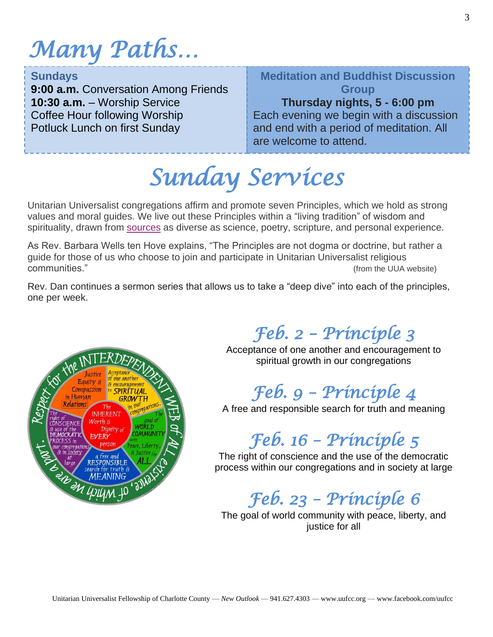# *Many Paths…*

#### **Sundays**

**9:00 a.m.** Conversation Among Friends **10:30 a.m.** – Worship Service Coffee Hour following Worship Potluck Lunch on first Sunday

#### **Meditation and Buddhist Discussion Group**

#### **Thursday nights, 5 - 6:00 pm**

 $\overline{a}$ Each evening we begin with a discussion and end with a period of meditation. All are welcome to attend.

*Sunday Services* 

Unitarian Universalist congregations affirm and promote seven Principles, which we hold as strong values and moral guides. We live out these Principles within a "living tradition" of wisdom and spirituality, drawn from [sources](https://www.uua.org/beliefs/what-we-believe/sources) as diverse as science, poetry, scripture, and personal experience.

As Rev. Barbara Wells ten Hove explains, "The Principles are not dogma or doctrine, but rather a guide for those of us who choose to join and participate in Unitarian Universalist religious communities." (from the UUA website)

Rev. Dan continues a sermon series that allows us to take a "deep dive" into each of the principles, one per week.



## *Feb. 2 – Principle 3*

Acceptance of one another and encouragement to spiritual growth in our congregations

## *Feb. 9 – Principle 4*

A free and responsible search for truth and meaning

#### *Feb. 16 – Principle 5*

The right of conscience and the use of the democratic process within our congregations and in society at large

#### *Feb. 23 – Principle 6*

The goal of world community with peace, liberty, and justice for all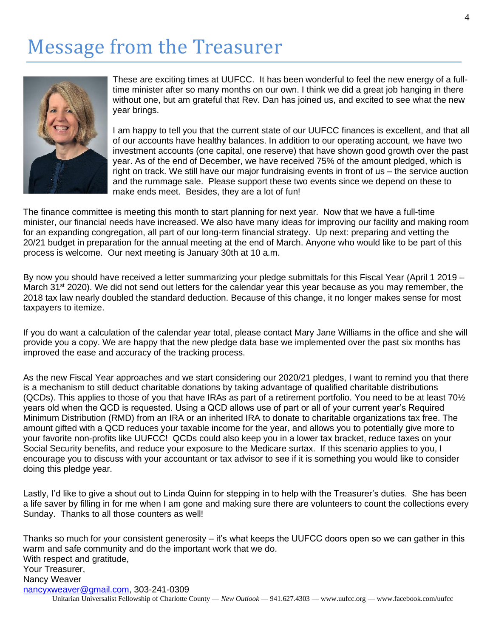## Message from the Treasurer



These are exciting times at UUFCC. It has been wonderful to feel the new energy of a fulltime minister after so many months on our own. I think we did a great job hanging in there without one, but am grateful that Rev. Dan has joined us, and excited to see what the new year brings.

I am happy to tell you that the current state of our UUFCC finances is excellent, and that all of our accounts have healthy balances. In addition to our operating account, we have two investment accounts (one capital, one reserve) that have shown good growth over the past year. As of the end of December, we have received 75% of the amount pledged, which is right on track. We still have our major fundraising events in front of us – the service auction and the rummage sale. Please support these two events since we depend on these to make ends meet. Besides, they are a lot of fun!

The finance committee is meeting this month to start planning for next year. Now that we have a full-time minister, our financial needs have increased. We also have many ideas for improving our facility and making room for an expanding congregation, all part of our long-term financial strategy. Up next: preparing and vetting the 20/21 budget in preparation for the annual meeting at the end of March. Anyone who would like to be part of this process is welcome. Our next meeting is January 30th at 10 a.m.

By now you should have received a letter summarizing your pledge submittals for this Fiscal Year (April 1 2019 – March 31<sup>st</sup> 2020). We did not send out letters for the calendar year this year because as you may remember, the 2018 tax law nearly doubled the standard deduction. Because of this change, it no longer makes sense for most taxpayers to itemize.

If you do want a calculation of the calendar year total, please contact Mary Jane Williams in the office and she will provide you a copy. We are happy that the new pledge data base we implemented over the past six months has improved the ease and accuracy of the tracking process.

As the new Fiscal Year approaches and we start considering our 2020/21 pledges, I want to remind you that there is a mechanism to still deduct charitable donations by taking advantage of qualified charitable distributions (QCDs). This applies to those of you that have IRAs as part of a retirement portfolio. You need to be at least 70½ years old when the QCD is requested. Using a QCD allows use of part or all of your current year's Required Minimum Distribution (RMD) from an IRA or an inherited IRA to donate to charitable organizations tax free. The amount gifted with a QCD reduces your taxable income for the year, and allows you to potentially give more to your favorite non-profits like UUFCC! QCDs could also keep you in a lower tax bracket, reduce taxes on your Social Security benefits, and reduce your exposure to the Medicare surtax. If this scenario applies to you, I encourage you to discuss with your accountant or tax advisor to see if it is something you would like to consider doing this pledge year.

Lastly, I'd like to give a shout out to Linda Quinn for stepping in to help with the Treasurer's duties. She has been a life saver by filling in for me when I am gone and making sure there are volunteers to count the collections every Sunday. Thanks to all those counters as well!

Unitarian Universalist Fellowship of Charlotte County — *New Outlook* — 941.627.4303 — www.uufcc.org — www.facebook.com/uufcc Thanks so much for your consistent generosity – it's what keeps the UUFCC doors open so we can gather in this warm and safe community and do the important work that we do. With respect and gratitude, Your Treasurer, Nancy Weaver [nancyxweaver@gmail.com,](mailto:nancyxweaver@gmail.com) 303-241-0309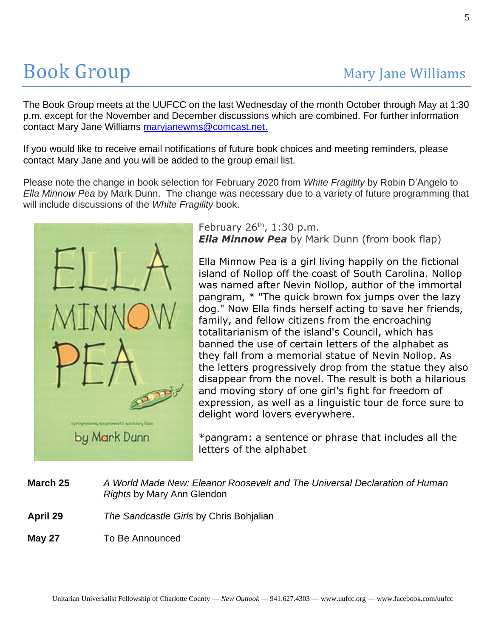# **Book Group Mary Jane Williams**

The Book Group meets at the UUFCC on the last Wednesday of the month October through May at 1:30 p.m. except for the November and December discussions which are combined. For further information contact Mary Jane Williams [maryjanewms@comcast.net.](mailto:maryjanewms@comcast.net)

If you would like to receive email notifications of future book choices and meeting reminders, please contact Mary Jane and you will be added to the group email list.

Please note the change in book selection for February 2020 from *White Fragility* by Robin D'Angelo to *Ella Minnow Pea* by Mark Dunn. The change was necessary due to a variety of future programming that will include discussions of the *White Fragility* book.



February  $26<sup>th</sup>$ , 1:30 p.m. *Ella Minnow Pea* by Mark Dunn (from book flap)

Ella Minnow Pea is a girl living happily on the fictional island of Nollop off the coast of South Carolina. Nollop was named after Nevin Nollop, author of the immortal pangram, \* "The quick brown fox jumps over the lazy dog." Now Ella finds herself acting to save her friends, family, and fellow citizens from the encroaching totalitarianism of the island's Council, which has banned the use of certain letters of the alphabet as they fall from a memorial statue of Nevin Nollop. As the letters progressively drop from the statue they also disappear from the novel. The result is both a hilarious and moving story of one girl's fight for freedom of expression, as well as a linguistic tour de force sure to delight word lovers everywhere.

\*pangram: a sentence or phrase that includes all the letters of the alphabet

**March 25** *A World Made New: Eleanor Roosevelt and The Universal Declaration of Human Rights* by Mary Ann Glendon

**April 29** *The Sandcastle Girls* by Chris Bohjalian

**May 27** To Be Announced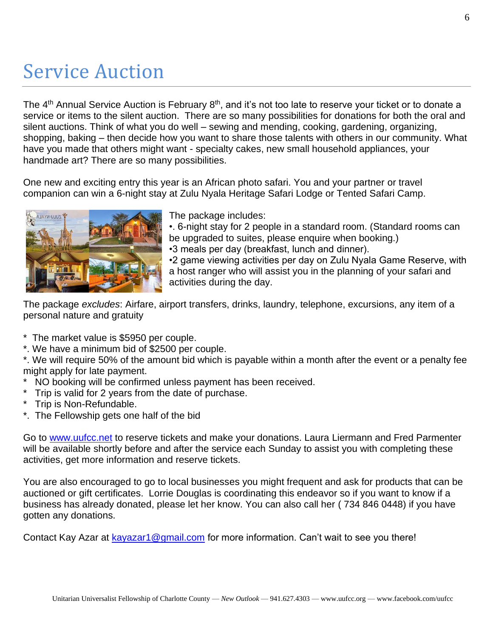## Service Auction

The 4<sup>th</sup> Annual Service Auction is February 8<sup>th</sup>, and it's not too late to reserve your ticket or to donate a service or items to the silent auction. There are so many possibilities for donations for both the oral and silent auctions. Think of what you do well – sewing and mending, cooking, gardening, organizing, shopping, baking – then decide how you want to share those talents with others in our community. What have you made that others might want - specialty cakes, new small household appliances, your handmade art? There are so many possibilities.

One new and exciting entry this year is an African photo safari. You and your partner or travel companion can win a 6-night stay at Zulu Nyala Heritage Safari Lodge or Tented Safari Camp.



The package includes:

•. 6-night stay for 2 people in a standard room. (Standard rooms can be upgraded to suites, please enquire when booking.) •3 meals per day (breakfast, lunch and dinner).

•2 game viewing activities per day on Zulu Nyala Game Reserve, with a host ranger who will assist you in the planning of your safari and activities during the day.

The package *excludes*: Airfare, airport transfers, drinks, laundry, telephone, excursions, any item of a personal nature and gratuity

\* The market value is \$5950 per couple.

\*. We have a minimum bid of \$2500 per couple.

\*. We will require 50% of the amount bid which is payable within a month after the event or a penalty fee might apply for late payment.

- NO booking will be confirmed unless payment has been received.
- \* Trip is valid for 2 years from the date of purchase.
- \* Trip is Non-Refundable.
- \*. The Fellowship gets one half of the bid

Go to [www.uufcc.net](http://www.uufcc.net/) to reserve tickets and make your donations. Laura Liermann and Fred Parmenter will be available shortly before and after the service each Sunday to assist you with completing these activities, get more information and reserve tickets.

You are also encouraged to go to local businesses you might frequent and ask for products that can be auctioned or gift certificates. Lorrie Douglas is coordinating this endeavor so if you want to know if a business has already donated, please let her know. You can also call her ( 734 846 0448) if you have gotten any donations.

Contact Kay Azar at [kayazar1@gmail.com](mailto:kayazar1@gmail.com) for more information. Can't wait to see you there!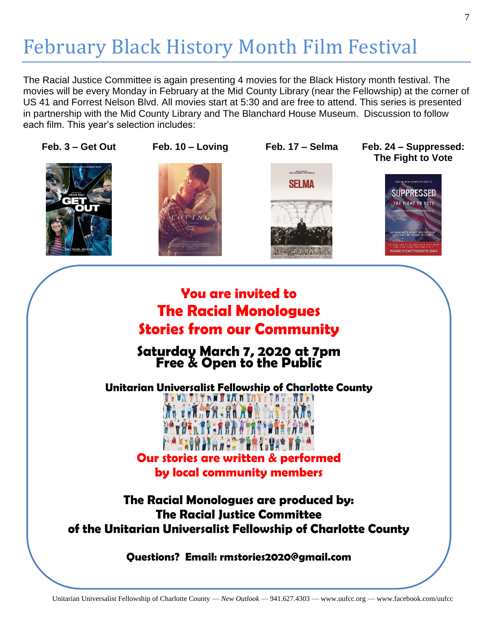# February Black History Month Film Festival

The Racial Justice Committee is again presenting 4 movies for the Black History month festival. The movies will be every Monday in February at the Mid County Library (near the Fellowship) at the corner of US 41 and Forrest Nelson Blvd. All movies start at 5:30 and are free to attend. This series is presented in partnership with the Mid County Library and The Blanchard House Museum. Discussion to follow each film. This year's selection includes:





**Feb. 3 – Get Out Feb. 10 – Loving Feb. 17 – Selma Feb. 24 – Suppressed: The Fight to Vote**



#### **You are invited to The Racial Monologues Stories from our Community**

#### **Saturday March 7, 2020 at 7pm Free & Open to the Public**

**Unitarian Universalist Fellowship of Charlotte County**

**THUR TRY NN I TAIN TAYY** 

**Our stories are written & performed by local community members**

**The Racial Monologues are produced by: The Racial Justice Committee of the Unitarian Universalist Fellowship of Charlotte County**

**Questions? Email: rmstories2020@gmail.com**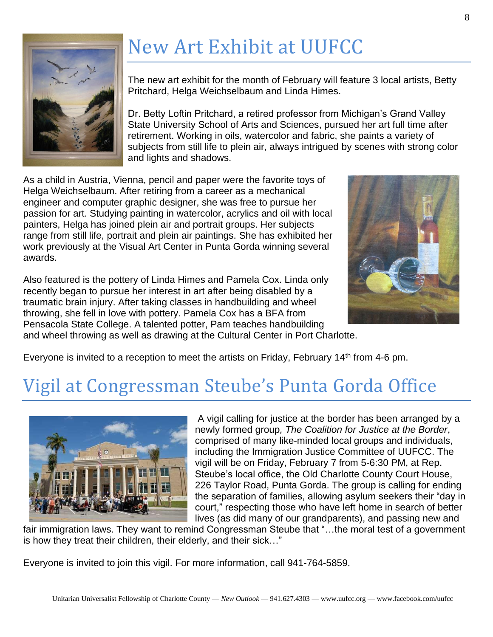

# New Art Exhibit at UUFCC

The new art exhibit for the month of February will feature 3 local artists, Betty Pritchard, Helga Weichselbaum and Linda Himes.

Dr. Betty Loftin Pritchard, a retired professor from Michigan's Grand Valley State University School of Arts and Sciences, pursued her art full time after retirement. Working in oils, watercolor and fabric, she paints a variety of subjects from still life to plein air, always intrigued by scenes with strong color and lights and shadows.

As a child in Austria, Vienna, pencil and paper were the favorite toys of Helga Weichselbaum. After retiring from a career as a mechanical engineer and computer graphic designer, she was free to pursue her passion for art. Studying painting in watercolor, acrylics and oil with local painters, Helga has joined plein air and portrait groups. Her subjects range from still life, portrait and plein air paintings. She has exhibited her work previously at the Visual Art Center in Punta Gorda winning several awards.

Also featured is the pottery of Linda Himes and Pamela Cox. Linda only recently began to pursue her interest in art after being disabled by a traumatic brain injury. After taking classes in handbuilding and wheel throwing, she fell in love with pottery. Pamela Cox has a BFA from Pensacola State College. A talented potter, Pam teaches handbuilding and wheel throwing as well as drawing at the Cultural Center in Port Charlotte.



Everyone is invited to a reception to meet the artists on Friday, February 14<sup>th</sup> from 4-6 pm.

## Vigil at Congressman Steube's Punta Gorda Office



A vigil calling for justice at the border has been arranged by a newly formed group*, The Coalition for Justice at the Border*, comprised of many like-minded local groups and individuals, including the Immigration Justice Committee of UUFCC. The vigil will be on Friday, February 7 from 5-6:30 PM, at Rep. Steube's local office, the Old Charlotte County Court House, 226 Taylor Road, Punta Gorda. The group is calling for ending the separation of families, allowing asylum seekers their "day in court," respecting those who have left home in search of better lives (as did many of our grandparents), and passing new and

fair immigration laws. They want to remind Congressman Steube that "…the moral test of a government is how they treat their children, their elderly, and their sick…"

Everyone is invited to join this vigil. For more information, call 941-764-5859.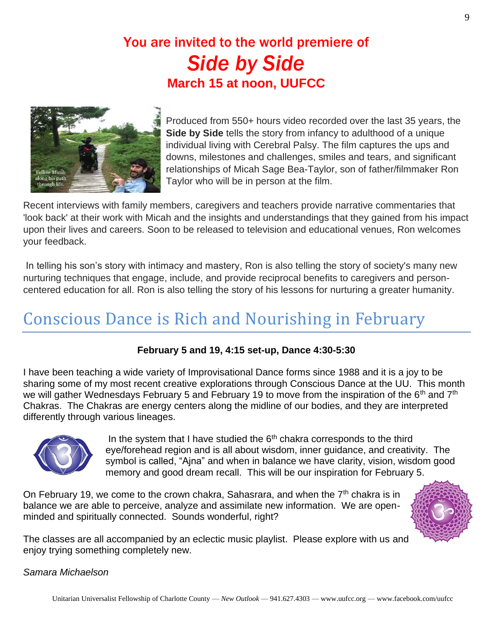#### You are invited to the world premiere of *Side by Side* **March 15 at noon, UUFCC**



Produced from 550+ hours video recorded over the last 35 years, the **Side by Side** tells the story from infancy to adulthood of a unique individual living with Cerebral Palsy. The film captures the ups and downs, milestones and challenges, smiles and tears, and significant relationships of Micah Sage Bea-Taylor, son of father/filmmaker Ron Taylor who will be in person at the film.

Recent interviews with family members, caregivers and teachers provide narrative commentaries that 'look back' at their work with Micah and the insights and understandings that they gained from his impact upon their lives and careers. Soon to be released to television and educational venues, Ron welcomes your feedback.

In telling his son's story with intimacy and mastery, Ron is also telling the story of society's many new nurturing techniques that engage, include, and provide reciprocal benefits to caregivers and personcentered education for all. Ron is also telling the story of his lessons for nurturing a greater humanity.

#### Conscious Dance is Rich and Nourishing in February

#### **February 5 and 19, 4:15 set-up, Dance 4:30-5:30**

I have been teaching a wide variety of Improvisational Dance forms since 1988 and it is a joy to be sharing some of my most recent creative explorations through Conscious Dance at the UU. This month we will gather Wednesdays February 5 and February 19 to move from the inspiration of the 6<sup>th</sup> and 7<sup>th</sup> Chakras. The Chakras are energy centers along the midline of our bodies, and they are interpreted differently through various lineages.



In the system that I have studied the  $6<sup>th</sup>$  chakra corresponds to the third eye/forehead region and is all about wisdom, inner guidance, and creativity. The symbol is called, "Ajna" and when in balance we have clarity, vision, wisdom good memory and good dream recall. This will be our inspiration for February 5.

On February 19, we come to the crown chakra, Sahasrara, and when the  $7<sup>th</sup>$  chakra is in balance we are able to perceive, analyze and assimilate new information. We are openminded and spiritually connected. Sounds wonderful, right?



The classes are all accompanied by an eclectic music playlist. Please explore with us and enjoy trying something completely new.

#### *Samara Michaelson*